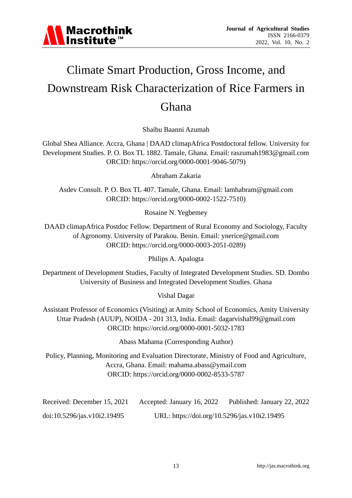

# Climate Smart Production, Gross Income, and Downstream Risk Characterization of Rice Farmers in Ghana

Shaibu Baanni Azumah

Global Shea Alliance. Accra, Ghana | DAAD climapAfrica Postdoctoral fellow. University for Development Studies. P. O. Box TL 1882. Tamale, Ghana. Email: [raszumah1983@gmail.com](mailto:raszumah1983@gmail.com) ORCID: [https://orcid.org/0000-0001-9046-5079\)](https://orcid.org/0000-0001-9046-5079)

Abraham Zakaria

Asdev Consult. P. O. Box TL 407. Tamale, Ghana. Email: [lamhabram@gmail.com](mailto:lamhabram@gmail.com)  ORCID: [https://orcid.org/0000-0002-1522-7510\)](https://orcid.org/0000-0002-1522-7510)

Rosaine N. Yegbemey

DAAD climapAfrica Postdoc Fellow. Department of Rural Economy and Sociology, Faculty of Agronomy. University of Parakou. Benin. Email: [ynerice@gmail.com](mailto:ynerice@gmail.com)  ORCID: [https://orcid.org/0000-0003-2051-0289\)](https://orcid.org/0000-0003-2051-0289)

Philips A. Apalogta

Department of Development Studies, Faculty of Integrated Development Studies. SD. Dombo University of Business and Integrated Development Studies. Ghana

Vishal Dagar

Assistant Professor of Economics (Visiting) at Amity School of Economics, Amity University Uttar Pradesh (AUUP), NOIDA - 201 313, India. Email: [dagarvishal99@gmail.com](mailto:dagarvishal99@gmail.com)  ORCID:<https://orcid.org/0000-0001-5032-1783>

Abass Mahama (Corresponding Author)

Policy, Planning, Monitoring and Evaluation Directorate, Ministry of Food and Agriculture, Accra, Ghana. Email: mahama.abass@ymail.com ORCID:<https://orcid.org/0000-0002-8533-5787>

Received: December 15, 2021 Accepted: January 16, 2022 Published: January 22, 2022 doi:10.5296/jas.v10i2.19495 URL: https://doi.org/10.5296/jas.v10i2.19495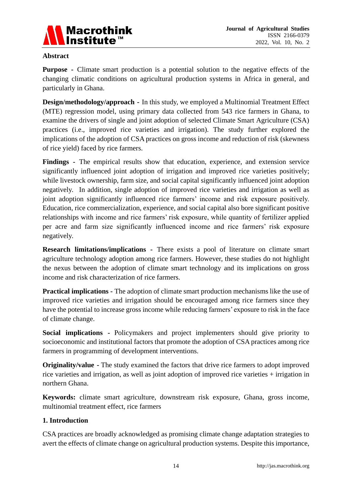

## **Abstract**

**Purpose** - Climate smart production is a potential solution to the negative effects of the changing climatic conditions on agricultural production systems in Africa in general, and particularly in Ghana.

**Design/methodology/approach -** In this study, we employed a Multinomial Treatment Effect (MTE) regression model, using primary data collected from 543 rice farmers in Ghana, to examine the drivers of single and joint adoption of selected Climate Smart Agriculture (CSA) practices (i.e., improved rice varieties and irrigation). The study further explored the implications of the adoption of CSA practices on gross income and reduction of risk (skewness of rice yield) faced by rice farmers.

**Findings -** The empirical results show that education, experience, and extension service significantly influenced joint adoption of irrigation and improved rice varieties positively; while livestock ownership, farm size, and social capital significantly influenced joint adoption negatively. In addition, single adoption of improved rice varieties and irrigation as well as joint adoption significantly influenced rice farmers' income and risk exposure positively. Education, rice commercialization, experience, and social capital also bore significant positive relationships with income and rice farmers' risk exposure, while quantity of fertilizer applied per acre and farm size significantly influenced income and rice farmers' risk exposure negatively.

**Research limitations/implications -** There exists a pool of literature on climate smart agriculture technology adoption among rice farmers. However, these studies do not highlight the nexus between the adoption of climate smart technology and its implications on gross income and risk characterization of rice farmers.

**Practical implications -** The adoption of climate smart production mechanisms like the use of improved rice varieties and irrigation should be encouraged among rice farmers since they have the potential to increase gross income while reducing farmers' exposure to risk in the face of climate change.

**Social implications -** Policymakers and project implementers should give priority to socioeconomic and institutional factors that promote the adoption of CSA practices among rice farmers in programming of development interventions.

**Originality/value -** The study examined the factors that drive rice farmers to adopt improved rice varieties and irrigation, as well as joint adoption of improved rice varieties + irrigation in northern Ghana.

**Keywords:** climate smart agriculture, downstream risk exposure, Ghana, gross income, multinomial treatment effect, rice farmers

# **1. Introduction**

CSA practices are broadly acknowledged as promising climate change adaptation strategies to avert the effects of climate change on agricultural production systems. Despite this importance,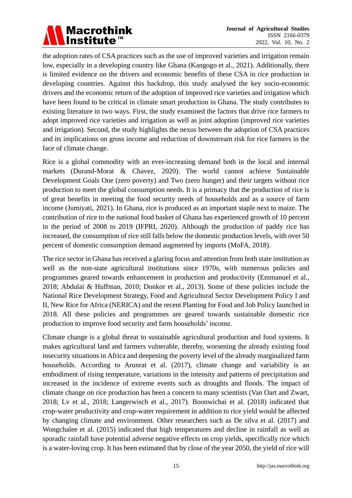

the adoption rates of CSA practices such as the use of improved varieties and irrigation remain low, especially in a developing country like Ghana (Kangogo et al., 2021). Additionally, there is limited evidence on the drivers and economic benefits of these CSA in rice production in developing countries. Against this backdrop, this study analysed the key socio-economic drivers and the economic return of the adoption of improved rice varieties and irrigation which have been found to be critical in climate smart production in Ghana. The study contributes to existing literature in two ways. First, the study examined the factors that drive rice farmers to adopt improved rice varieties and irrigation as well as joint adoption (improved rice varieties and irrigation). Second, the study highlights the nexus between the adoption of CSA practices and its implications on gross income and reduction of downstream risk for rice farmers in the face of climate change.

Rice is a global commodity with an ever-increasing demand both in the local and internal markets (Durand-Morat & Chavez, 2020). The world cannot achieve Sustainable Development Goals One (zero poverty) and Two (zero hunger) and their targets without rice production to meet the global consumption needs. It is a primacy that the production of rice is of great benefits in meeting the food security needs of households and as a source of farm income (Jumiyati, 2021). In Ghana, rice is produced as an important staple next to maize. The contribution of rice to the national food basket of Ghana has experienced growth of 10 percent in the period of 2008 to 2019 (IFPRI, 2020). Although the production of paddy rice has increased, the consumption of rice still falls below the domestic production levels, with over 50 percent of domestic consumption demand augmented by imports (MoFA, 2018).

The rice sector in Ghana has received a glaring focus and attention from both state institution as well as the non-state agricultural institutions since 1970s, with numerous policies and programmes geared towards enhancement in production and productivity (Emmanuel et al., 2018; Abdulai & Huffman, 2010; Donkor et al., 2013). Some of these policies include the National Rice Development Strategy, Food and Agricultural Sector Development Policy I and II, New Rice for Africa (NERICA) and the recent Planting for Food and Job Policy launched in 2018. All these policies and programmes are geared towards sustainable domestic rice production to improve food security and farm households' income.

Climate change is a global threat to sustainable agricultural production and food systems. It makes agricultural land and farmers vulnerable, thereby, worsening the already existing food insecurity situations in Africa and deepening the poverty level of the already marginalized farm households. According to Arunrat et al. (2017), climate change and variability is an embodiment of rising temperature, variations in the intensity and patterns of precipitation and increased in the incidence of extreme events such as droughts and floods. The impact of climate change on rice production has been a concern to many scientists (Van Oart and Zwart, 2018; Lv et al., 2018; Langerwisch et al., 2017). Boonwichai et al. (2018) indicated that crop-water productivity and crop-water requirement in addition to rice yield would be affected by changing climate and environment. Other researchers such as De silva et al. (2017) and Wongchalee et al. (2015) indicated that high temperatures and decline in rainfall as well as sporadic rainfall have potential adverse negative effects on crop yields, specifically rice which is a water-loving crop. It has been estimated that by close of the year 2050, the yield of rice will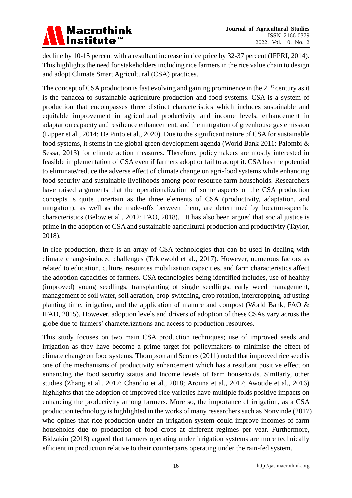

decline by 10-15 percent with a resultant increase in rice price by 32-37 percent (IFPRI, 2014). This highlights the need for stakeholders including rice farmers in the rice value chain to design and adopt Climate Smart Agricultural (CSA) practices.

The concept of CSA production is fast evolving and gaining prominence in the  $21<sup>st</sup>$  century as it is the panacea to sustainable agriculture production and food systems. CSA is a system of production that encompasses three distinct characteristics which includes sustainable and equitable improvement in agricultural productivity and income levels, enhancement in adaptation capacity and resilience enhancement, and the mitigation of greenhouse gas emission (Lipper et al., 2014; De Pinto et al., 2020). Due to the significant nature of CSA for sustainable food systems, it stems in the global green development agenda (World Bank 2011: Palombi & Sessa, 2013) for climate action measures. Therefore, policymakers are mostly interested in feasible implementation of CSA even if farmers adopt or fail to adopt it. CSA has the potential to eliminate/reduce the adverse effect of climate change on agri-food systems while enhancing food security and sustainable livelihoods among poor resource farm households. Researchers have raised arguments that the operationalization of some aspects of the CSA production concepts is quite uncertain as the three elements of CSA (productivity, adaptation, and mitigation), as well as the trade-offs between them, are determined by location-specific characteristics (Below et al., 2012; FAO, 2018). It has also been argued that social justice is prime in the adoption of CSA and sustainable agricultural production and productivity (Taylor, 2018).

In rice production, there is an array of CSA technologies that can be used in dealing with climate change-induced challenges (Teklewold et al., 2017). However, numerous factors as related to education, culture, resources mobilization capacities, and farm characteristics affect the adoption capacities of farmers. CSA technologies being identified includes, use of healthy (improved) young seedlings, transplanting of single seedlings, early weed management, management of soil water, soil aeration, crop-switching, crop rotation, intercropping, adjusting planting time, irrigation, and the application of manure and compost (World Bank, FAO & IFAD, 2015). However, adoption levels and drivers of adoption of these CSAs vary across the globe due to farmers' characterizations and access to production resources.

This study focuses on two main CSA production techniques; use of improved seeds and irrigation as they have become a prime target for policymakers to minimise the effect of climate change on food systems. Thompson and Scones (2011) noted that improved rice seed is one of the mechanisms of productivity enhancement which has a resultant positive effect on enhancing the food security status and income levels of farm households. Similarly, other studies (Zhang et al., 2017; Chandio et al., 2018; Arouna et al., 2017; Awotide et al., 2016) highlights that the adoption of improved rice varieties have multiple folds positive impacts on enhancing the productivity among farmers. More so, the importance of irrigation, as a CSA production technology is highlighted in the works of many researchers such as Nonvinde (2017) who opines that rice production under an irrigation system could improve incomes of farm households due to production of food crops at different regimes per year. Furthermore, Bidzakin (2018) argued that farmers operating under irrigation systems are more technically efficient in production relative to their counterparts operating under the rain-fed system.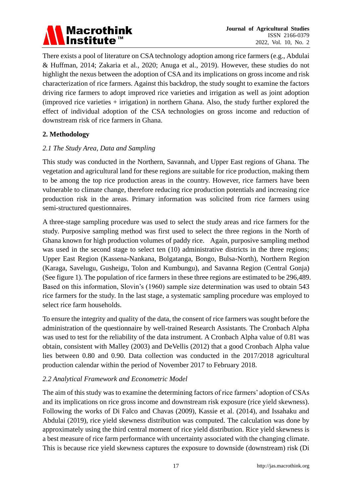

There exists a pool of literature on CSA technology adoption among rice farmers (e.g., Abdulai & Huffman, 2014; Zakaria et al., 2020; Anuga et al., 2019). However, these studies do not highlight the nexus between the adoption of CSA and its implications on gross income and risk characterization of rice farmers. Against this backdrop, the study sought to examine the factors driving rice farmers to adopt improved rice varieties and irrigation as well as joint adoption (improved rice varieties + irrigation) in northern Ghana. Also, the study further explored the effect of individual adoption of the CSA technologies on gross income and reduction of downstream risk of rice farmers in Ghana.

# **2. Methodology**

# *2.1 The Study Area, Data and Sampling*

This study was conducted in the Northern, Savannah, and Upper East regions of Ghana. The vegetation and agricultural land for these regions are suitable for rice production, making them to be among the top rice production areas in the country. However, rice farmers have been vulnerable to climate change, therefore reducing rice production potentials and increasing rice production risk in the areas. Primary information was solicited from rice farmers using semi-structured questionnaires.

A three-stage sampling procedure was used to select the study areas and rice farmers for the study. Purposive sampling method was first used to select the three regions in the North of Ghana known for high production volumes of paddy rice. Again, purposive sampling method was used in the second stage to select ten (10) administrative districts in the three regions; Upper East Region (Kassena-Nankana, Bolgatanga, Bongo, Bulsa-North), Northern Region (Karaga, Savelugu, Gusheigu, Tolon and Kumbungu), and Savanna Region (Central Gonja) (See figure 1). The population of rice farmers in these three regions are estimated to be 296,489. Based on this information, Slovin's (1960) sample size determination was used to obtain 543 rice farmers for the study. In the last stage, a systematic sampling procedure was employed to select rice farm households.

To ensure the integrity and quality of the data, the consent of rice farmers was sought before the administration of the questionnaire by well-trained Research Assistants. The Cronbach Alpha was used to test for the reliability of the data instrument. A Cronbach Alpha value of 0.81 was obtain, consistent with Malley (2003) and DeVellis (2012) that a good Cronbach Alpha value lies between 0.80 and 0.90. Data collection was conducted in the 2017/2018 agricultural production calendar within the period of November 2017 to February 2018.

# *2.2 Analytical Framework and Econometric Model*

The aim of this study was to examine the determining factors of rice farmers' adoption of CSAs and its implications on rice gross income and downstream risk exposure (rice yield skewness). Following the works of Di Falco and Chavas (2009), Kassie et al. (2014), and Issahaku and Abdulai (2019), rice yield skewness distribution was computed. The calculation was done by approximately using the third central moment of rice yield distribution. Rice yield skewness is a best measure of rice farm performance with uncertainty associated with the changing climate. This is because rice yield skewness captures the exposure to downside (downstream) risk (Di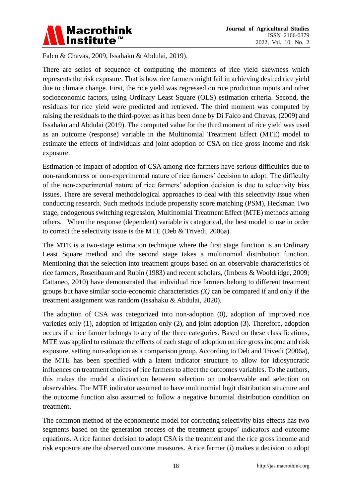

Falco & Chavas, 2009, Issahaku & Abdulai, 2019).

There are series of sequence of computing the moments of rice yield skewness which represents the risk exposure. That is how rice farmers might fail in achieving desired rice yield due to climate change. First, the rice yield was regressed on rice production inputs and other socioeconomic factors, using Ordinary Least Square (OLS) estimation criteria. Second, the residuals for rice yield were predicted and retrieved. The third moment was computed by raising the residuals to the third-power as it has been done by Di Falco and Chavas, (2009) and Issahaku and Abdulai (2019). The computed value for the third moment of rice yield was used as an outcome (response) variable in the Multinomial Treatment Effect (MTE) model to estimate the effects of individuals and joint adoption of CSA on rice gross income and risk exposure.

Estimation of impact of adoption of CSA among rice farmers have serious difficulties due to non-randomness or non-experimental nature of rice farmers' decision to adopt. The difficulty of the non-experimental nature of rice farmers' adoption decision is due to selectivity bias issues. There are several methodological approaches to deal with this selectivity issue when conducting research. Such methods include propensity score matching (PSM), Heckman Two stage, endogenous switching regression, Multinomial Treatment Effect (MTE) methods among others. When the response (dependent) variable is categorical, the best model to use in order to correct the selectivity issue is the MTE (Deb & Trivedi, 2006a).

The MTE is a two-stage estimation technique where the first stage function is an Ordinary Least Square method and the second stage takes a multinomial distribution function. Mentioning that the selection into treatment groups based on an observable characteristics of rice farmers, Rosenbaum and Rubin (1983) and recent scholars, (Imbens & Wooldridge, 2009; Cattaneo, 2010) have demonstrated that individual rice farmers belong to different treatment groups but have similar socio-economic characteristics *(X)* can be compared if and only if the treatment assignment was random (Issahaku & Abdulai, 2020).

The adoption of CSA was categorized into non-adoption (0), adoption of improved rice varieties only (1), adoption of irrigation only (2), and joint adoption (3). Therefore, adoption occurs if a rice farmer belongs to any of the three categories. Based on these classifications, MTE was applied to estimate the effects of each stage of adoption on rice gross income and risk exposure, setting non-adoption as a comparison group. According to Deb and Trivedi (2006a), the MTE has been specified with a latent indicator structure to allow for idiosyncratic influences on treatment choices of rice farmers to affect the outcomes variables. To the authors, this makes the model a distinction between selection on unobservable and selection on observables. The MTE indicator assumed to have multinomial logit distribution structure and the outcome function also assumed to follow a negative binomial distribution condition on treatment.

The common method of the econometric model for correcting selectivity bias effects has two segments based on the generation process of the treatment groups' indicators and outcome equations. A rice farmer decision to adopt CSA is the treatment and the rice gross income and risk exposure are the observed outcome measures. A rice farmer (i) makes a decision to adopt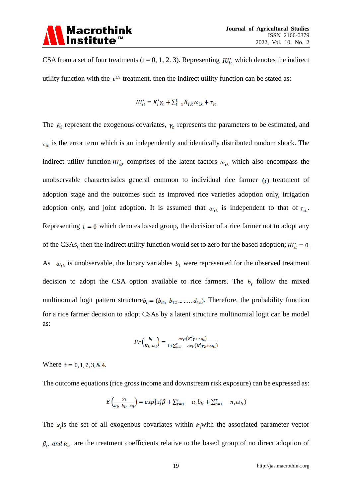CSA from a set of four treatments (t = 0, 1, 2. 3). Representing  $IU_{it}^*$  which denotes the indirect utility function with the  $t<sup>th</sup>$  treatment, then the indirect utility function can be stated as:

$$
IU_{it}^* = K_i' \gamma_t + \sum_{t=1}^t \delta_{TK} \omega_{ik} + \tau_{it}
$$

The  $K_i$  represent the exogenous covariates,  $\gamma_t$  represents the parameters to be estimated, and  $\tau_{it}$  is the error term which is an independently and identically distributed random shock. The indirect utility function  $IU^*_{it}$ , comprises of the latent factors  $\omega_{ik}$  which also encompass the unobservable characteristics general common to individual rice farmer  $(i)$  treatment of adoption stage and the outcomes such as improved rice varieties adoption only, irrigation adoption only, and joint adoption. It is assumed that  $\omega_{ik}$  is independent to that of  $\tau_{it}$ . Representing  $t = 0$  which denotes based group, the decision of a rice farmer not to adopt any of the CSAs, then the indirect utility function would set to zero for the based adoption;  $IU_{it}^* = 0$ . As  $\omega_{ik}$  is unobservable, the binary variables  $b_t$  were represented for the observed treatment decision to adopt the CSA option available to rice farmers. The  $b_t$  follow the mixed multinomial logit pattern structure  $b_i = (b_{i1}, b_{12}, \ldots, d_{1t})$ . Therefore, the probability function for a rice farmer decision to adopt CSAs by a latent structure multinomial logit can be model as:

$$
Pr\left(\frac{b_i}{K_i, \omega_i}\right) = \frac{exp\left(K_i' \gamma + \omega_{it}\right)}{1 + \sum_{k=1}^t exp\left(K_i' \gamma_k + \omega_{it}\right)}
$$

Where  $t = 0, 1, 2, 3, 8, 4$ .

The outcome equations (rice gross income and downstream risk exposure) can be expressed as:

$$
E\left(\frac{y_i}{b_i, k_i, \omega_i}\right) = exp\{x_i'\beta + \sum_{t=1}^T \alpha_t b_{it} + \sum_{t=1}^T \pi_t \omega_{it}\}
$$

The  $x_i$  is the set of all exogenous covariates within  $k_i$  with the associated parameter vector  $\beta_i$ , and  $\alpha_i$ , are the treatment coefficients relative to the based group of no direct adoption of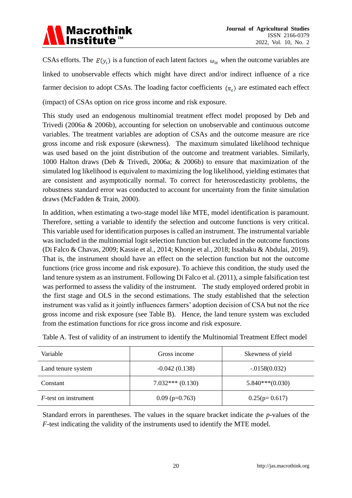

CSAs efforts. The  $E(y_i)$  is a function of each latent factors  $\omega_{it}$  when the outcome variables are linked to unobservable effects which might have direct and/or indirect influence of a rice farmer decision to adopt CSAs. The loading factor coefficients  $(\pi_t)$  are estimated each effect (impact) of CSAs option on rice gross income and risk exposure.

This study used an endogenous multinomial treatment effect model proposed by Deb and Trivedi (2006a & 2006b), accounting for selection on unobservable and continuous outcome variables. The treatment variables are adoption of CSAs and the outcome measure are rice gross income and risk exposure (skewness). The maximum simulated likelihood technique was used based on the joint distribution of the outcome and treatment variables. Similarly, 1000 Halton draws (Deb & Trivedi, 2006a; & 2006b) to ensure that maximization of the simulated log likelihood is equivalent to maximizing the log likelihood, yielding estimates that are consistent and asymptotically normal. To correct for heteroscedasticity problems, the robustness standard error was conducted to account for uncertainty from the finite simulation draws (McFadden & Train, 2000).

In addition, when estimating a two-stage model like MTE, model identification is paramount. Therefore, setting a variable to identify the selection and outcome functions is very critical. This variable used for identification purposes is called an instrument. The instrumental variable was included in the multinomial logit selection function but excluded in the outcome functions (Di Falco & Chavas, 2009; Kassie et al., 2014; Khonje et al., 2018; Issahaku & Abdulai, 2019). That is, the instrument should have an effect on the selection function but not the outcome functions (rice gross income and risk exposure). To achieve this condition, the study used the land tenure system as an instrument. Following Di Falco et al. (2011), a simple falsification test was performed to assess the validity of the instrument. The study employed ordered probit in the first stage and OLS in the second estimations. The study established that the selection instrument was valid as it jointly influences farmers' adoption decision of CSA but not the rice gross income and risk exposure (see Table B). Hence, the land tenure system was excluded from the estimation functions for rice gross income and risk exposure.

| Variable                     | Gross income      | Skewness of yield |
|------------------------------|-------------------|-------------------|
| Land tenure system           | $-0.042(0.138)$   | $-.0158(0.032)$   |
| Constant                     | $7.032***(0.130)$ | $5.840***(0.030)$ |
| <i>F</i> -test on instrument | $0.09$ (p=0.763)  | $0.25(p=0.617)$   |

Table A. Test of validity of an instrument to identify the Multinomial Treatment Effect model

Standard errors in parentheses. The values in the square bracket indicate the *p*-values of the *F*-test indicating the validity of the instruments used to identify the MTE model.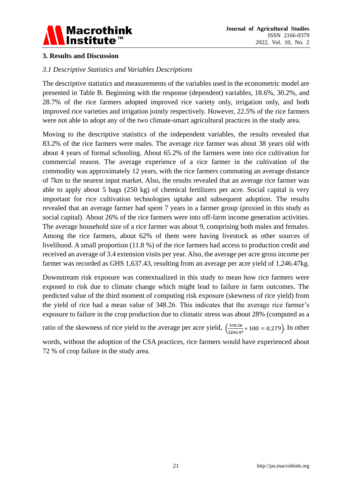

# **3. Results and Discussion**

# *3.1 Descriptive Statistics and Variables Descriptions*

The descriptive statistics and measurements of the variables used in the econometric model are presented in Table B. Beginning with the response (dependent) variables, 18.6%, 30.2%, and 28.7% of the rice farmers adopted improved rice variety only, irrigation only, and both improved rice varieties and irrigation jointly respectively. However, 22.5% of the rice farmers were not able to adopt any of the two climate-smart agricultural practices in the study area.

Moving to the descriptive statistics of the independent variables, the results revealed that 83.2% of the rice farmers were males. The average rice farmer was about 38 years old with about 4 years of formal schooling. About 65.2% of the farmers were into rice cultivation for commercial reason. The average experience of a rice farmer in the cultivation of the commodity was approximately 12 years, with the rice farmers commuting an average distance of 7km to the nearest input market. Also, the results revealed that an average rice farmer was able to apply about 5 bags (250 kg) of chemical fertilizers per acre. Social capital is very important for rice cultivation technologies uptake and subsequent adoption. The results revealed that an average farmer had spent 7 years in a farmer group (proxied in this study as social capital). About 26% of the rice farmers were into off-farm income generation activities. The average household size of a rice farmer was about 9, comprising both males and females. Among the rice farmers, about 62% of them were having livestock as other sources of livelihood. A small proportion (11.8 %) of the rice farmers had access to production credit and received an average of 3.4 extension visits per year. Also, the average per acre gross income per farmer was recorded as GHS 1,637.43, resulting from an average per acre yield of 1,246.47kg.

Downstream risk exposure was contextualized in this study to mean how rice farmers were exposed to risk due to climate change which might lead to failure in farm outcomes. The predicted value of the third moment of computing risk exposure (skewness of rice yield) from the yield of rice had a mean value of 348.26. This indicates that the average rice farmer's exposure to failure in the crop production due to climatic stress was about 28% (computed as a

ratio of the skewness of rice yield to the average per acre yield,  $\left(\frac{348.26}{1246.47} * 100 = 0.279\right)$ . In other

words, without the adoption of the CSA practices, rice farmers would have experienced about 72 % of crop failure in the study area.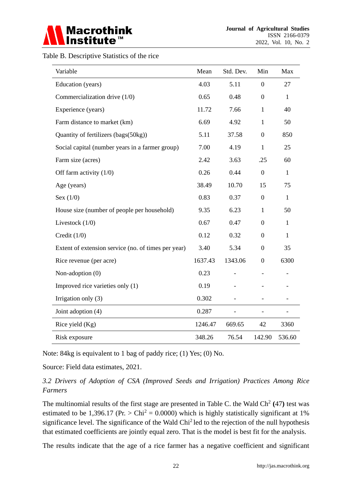

Table B. Descriptive Statistics of the rice

| Variable                                            | Mean    | Std. Dev. | Min              | Max          |
|-----------------------------------------------------|---------|-----------|------------------|--------------|
| Education (years)                                   | 4.03    | 5.11      | $\overline{0}$   | 27           |
| Commercialization drive $(1/0)$                     | 0.65    | 0.48      | $\overline{0}$   | 1            |
| Experience (years)                                  | 11.72   | 7.66      | $\mathbf{1}$     | 40           |
| Farm distance to market (km)                        | 6.69    | 4.92      | 1                | 50           |
| Quantity of fertilizers (bags(50kg))                | 5.11    | 37.58     | $\overline{0}$   | 850          |
| Social capital (number years in a farmer group)     | 7.00    | 4.19      | $\mathbf{1}$     | 25           |
| Farm size (acres)                                   | 2.42    | 3.63      | .25              | 60           |
| Off farm activity $(1/0)$                           | 0.26    | 0.44      | $\overline{0}$   | $\mathbf{1}$ |
| Age (years)                                         | 38.49   | 10.70     | 15               | 75           |
| Sex $(1/0)$                                         | 0.83    | 0.37      | $\overline{0}$   | $\mathbf{1}$ |
| House size (number of people per household)         | 9.35    | 6.23      | $\mathbf{1}$     | 50           |
| Livestock $(1/0)$                                   | 0.67    | 0.47      | $\boldsymbol{0}$ | $\mathbf{1}$ |
| Credit $(1/0)$                                      | 0.12    | 0.32      | $\overline{0}$   | $\mathbf{1}$ |
| Extent of extension service (no. of times per year) | 3.40    | 5.34      | $\overline{0}$   | 35           |
| Rice revenue (per acre)                             | 1637.43 | 1343.06   | $\overline{0}$   | 6300         |
| Non-adoption (0)                                    | 0.23    |           |                  |              |
| Improved rice varieties only (1)                    | 0.19    |           |                  |              |
| Irrigation only (3)                                 | 0.302   |           |                  |              |
| Joint adoption (4)                                  | 0.287   |           |                  |              |
| Rice yield $(Kg)$                                   | 1246.47 | 669.65    | 42               | 3360         |
| Risk exposure                                       | 348.26  | 76.54     | 142.90           | 536.60       |

Note: 84kg is equivalent to 1 bag of paddy rice; (1) Yes; (0) No.

Source: Field data estimates, 2021.

# *3.2 Drivers of Adoption of CSA (Improved Seeds and Irrigation) Practices Among Rice Farmers*

The multinomial results of the first stage are presented in Table C. the Wald  $\text{Ch}^2(47)$  test was estimated to be 1,396.17 (Pr.  $>$  Chi<sup>2</sup> = 0.0000) which is highly statistically significant at 1% significance level. The significance of the Wald Chi<sup>2</sup> led to the rejection of the null hypothesis that estimated coefficients are jointly equal zero. That is the model is best fit for the analysis.

The results indicate that the age of a rice farmer has a negative coefficient and significant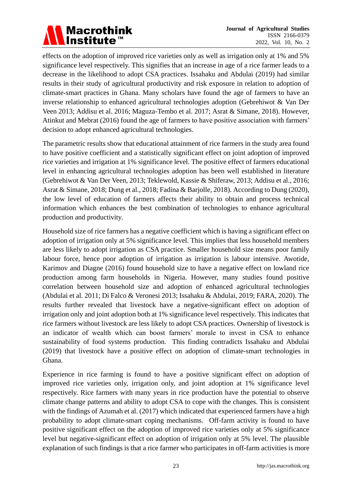

effects on the adoption of improved rice varieties only as well as irrigation only at 1% and 5% significance level respectively. This signifies that an increase in age of a rice farmer leads to a decrease in the likelihood to adopt CSA practices. Issahaku and Abdulai (2019) had similar results in their study of agricultural productivity and risk exposure in relation to adoption of climate-smart practices in Ghana. Many scholars have found the age of farmers to have an inverse relationship to enhanced agricultural technologies adoption (Gebrehiwot & Van Der Veen 2013; Addisu et al. 2016; Maguza-Tembo et al. 2017; Asrat & Simane, 2018). However, Atinkut and Mebrat (2016) found the age of farmers to have positive association with farmers' decision to adopt enhanced agricultural technologies.

The parametric results show that educational attainment of rice farmers in the study area found to have positive coefficient and a statistically significant effect on joint adoption of improved rice varieties and irrigation at 1% significance level. The positive effect of farmers educational level in enhancing agricultural technologies adoption has been well established in literature (Gebrehiwot & Van Der Veen, 2013; Teklewold, Kassie & Shiferaw, 2013; Addisu et al., 2016; Asrat & Simane, 2018; Dung et al., 2018; Fadina & Barjolle, 2018). According to Dung (2020), the low level of education of farmers affects their ability to obtain and process technical information which enhances the best combination of technologies to enhance agricultural production and productivity.

Household size of rice farmers has a negative coefficient which is having a significant effect on adoption of irrigation only at 5% significance level. This implies that less household members are less likely to adopt irrigation as CSA practice. Smaller household size means poor family labour force, hence poor adoption of irrigation as irrigation is labour intensive. Awotide, Karimov and Diagne (2016) found household size to have a negative effect on lowland rice production among farm households in Nigeria. However, many studies found positive correlation between household size and adoption of enhanced agricultural technologies (Abdulai et al. 2011; Di Falco & Veronesi 2013; Issahaku & Abdulai, 2019; FARA, 2020). The results further revealed that livestock have a negative-significant effect on adoption of irrigation only and joint adoption both at 1% significance level respectively. This indicates that rice farmers without livestock are less likely to adopt CSA practices. Ownership of livestock is an indicator of wealth which can boost farmers' morale to invest in CSA to enhance sustainability of food systems production. This finding contradicts Issahaku and Abdulai (2019) that livestock have a positive effect on adoption of climate-smart technologies in Ghana.

Experience in rice farming is found to have a positive significant effect on adoption of improved rice varieties only, irrigation only, and joint adoption at 1% significance level respectively. Rice farmers with many years in rice production have the potential to observe climate change patterns and ability to adopt CSA to cope with the changes. This is consistent with the findings of Azumah et al. (2017) which indicated that experienced farmers have a high probability to adopt climate-smart coping mechanisms. Off-farm activity is found to have positive significant effect on the adoption of improved rice varieties only at 5% significance level but negative-significant effect on adoption of irrigation only at 5% level. The plausible explanation of such findings is that a rice farmer who participates in off-farm activities is more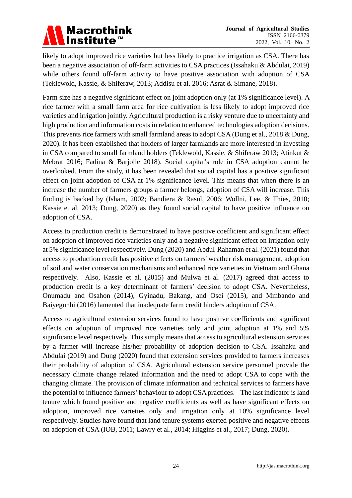likely to adopt improved rice varieties but less likely to practice irrigation as CSA. There has been a negative association of off-farm activities to CSA practices (Issahaku & Abdulai, 2019) while others found off-farm activity to have positive association with adoption of CSA (Teklewold, Kassie, & Shiferaw, 2013; Addisu et al. 2016; Asrat & Simane, 2018).

Farm size has a negative significant effect on joint adoption only (at 1% significance level). A rice farmer with a small farm area for rice cultivation is less likely to adopt improved rice varieties and irrigation jointly. Agricultural production is a risky venture due to uncertainty and high production and information costs in relation to enhanced technologies adoption decisions. This prevents rice farmers with small farmland areas to adopt CSA (Dung et al., 2018 & Dung, 2020). It has been established that holders of larger farmlands are more interested in investing in CSA compared to small farmland holders (Teklewold, Kassie, & Shiferaw 2013; Atinkut & Mebrat 2016; Fadina & Barjolle 2018). Social capital's role in CSA adoption cannot be overlooked. From the study, it has been revealed that social capital has a positive significant effect on joint adoption of CSA at 1% significance level. This means that when there is an increase the number of farmers groups a farmer belongs, adoption of CSA will increase. This finding is backed by (Isham, 2002; Bandiera & Rasul, 2006; Wollni, Lee, & Thies, 2010; Kassie et al. 2013; Dung, 2020) as they found social capital to have positive influence on adoption of CSA.

Access to production credit is demonstrated to have positive coefficient and significant effect on adoption of improved rice varieties only and a negative significant effect on irrigation only at 5% significance level respectively. Dung (2020) and Abdul-Rahaman et al. (2021) found that access to production credit has positive effects on farmers' weather risk management, adoption of soil and water conservation mechanisms and enhanced rice varieties in Vietnam and Ghana respectively. Also, Kassie et al. (2015) and Mulwa et al. (2017) agreed that access to production credit is a key determinant of farmers' decision to adopt CSA. Nevertheless, Onumadu and Osahon (2014), Gyinadu, Bakang, and Osei (2015), and Mmbando and Baiyegunhi (2016) lamented that inadequate farm credit hinders adoption of CSA.

Access to agricultural extension services found to have positive coefficients and significant effects on adoption of improved rice varieties only and joint adoption at 1% and 5% significance level respectively. This simply means that access to agricultural extension services by a farmer will increase his/her probability of adoption decision to CSA. Issahaku and Abdulai (2019) and Dung (2020) found that extension services provided to farmers increases their probability of adoption of CSA. Agricultural extension service personnel provide the necessary climate change related information and the need to adopt CSA to cope with the changing climate. The provision of climate information and technical services to farmers have the potential to influence farmers' behaviour to adopt CSA practices. The last indicator is land tenure which found positive and negative coefficients as well as have significant effects on adoption, improved rice varieties only and irrigation only at 10% significance level respectively. Studies have found that land tenure systems exerted positive and negative effects on adoption of CSA (IOB, 2011; Lawry et al., 2014; Higgins et al., 2017; Dung, 2020).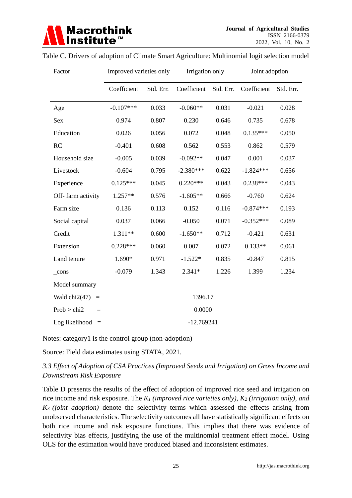| Factor                      |             | Improved varieties only |             | Irrigation only |             | Joint adoption |  |
|-----------------------------|-------------|-------------------------|-------------|-----------------|-------------|----------------|--|
|                             | Coefficient | Std. Err.               | Coefficient | Std. Err.       | Coefficient | Std. Err.      |  |
| Age                         | $-0.107***$ | 0.033                   | $-0.060**$  | 0.031           | $-0.021$    | 0.028          |  |
| Sex                         | 0.974       | 0.807                   | 0.230       | 0.646           | 0.735       | 0.678          |  |
| Education                   | 0.026       | 0.056                   | 0.072       | 0.048           | $0.135***$  | 0.050          |  |
| RC                          | $-0.401$    | 0.608                   | 0.562       | 0.553           | 0.862       | 0.579          |  |
| Household size              | $-0.005$    | 0.039                   | $-0.092**$  | 0.047           | 0.001       | 0.037          |  |
| Livestock                   | $-0.604$    | 0.795                   | $-2.380***$ | 0.622           | $-1.824***$ | 0.656          |  |
| Experience                  | $0.125***$  | 0.045                   | $0.220***$  | 0.043           | $0.238***$  | 0.043          |  |
| Off-farm activity           | $1.257**$   | 0.576                   | $-1.605**$  | 0.666           | $-0.760$    | 0.624          |  |
| Farm size                   | 0.136       | 0.113                   | 0.152       | 0.116           | $-0.874***$ | 0.193          |  |
| Social capital              | 0.037       | 0.066                   | $-0.050$    | 0.071           | $-0.352***$ | 0.089          |  |
| Credit                      | 1.311**     | 0.600                   | $-1.650**$  | 0.712           | $-0.421$    | 0.631          |  |
| Extension                   | $0.228***$  | 0.060                   | 0.007       | 0.072           | $0.133**$   | 0.061          |  |
| Land tenure                 | 1.690*      | 0.971                   | $-1.522*$   | 0.835           | $-0.847$    | 0.815          |  |
| $_{\rm cons}$               | $-0.079$    | 1.343                   | $2.341*$    | 1.226           | 1.399       | 1.234          |  |
| Model summary               |             |                         |             |                 |             |                |  |
| Wald $chi2(47)$<br>$\equiv$ |             |                         | 1396.17     |                 |             |                |  |
| Prob > chi2<br>$=$          |             | 0.0000                  |             |                 |             |                |  |
| Log likelihood<br>$=$       |             | $-12.769241$            |             |                 |             |                |  |

#### Table C. Drivers of adoption of Climate Smart Agriculture: Multinomial logit selection model

Notes: category1 is the control group (non-adoption)

Source: Field data estimates using STATA, 2021.

# *3.3 Effect of Adoption of CSA Practices (Improved Seeds and Irrigation) on Gross Income and Downstream Risk Exposure*

Table D presents the results of the effect of adoption of improved rice seed and irrigation on rice income and risk exposure. The *K<sup>1</sup> (improved rice varieties only), K<sup>2</sup> (irrigation only), and K3 (joint adoption)* denote the selectivity terms which assessed the effects arising from unobserved characteristics. The selectivity outcomes all have statistically significant effects on both rice income and risk exposure functions. This implies that there was evidence of selectivity bias effects, justifying the use of the multinomial treatment effect model. Using OLS for the estimation would have produced biased and inconsistent estimates.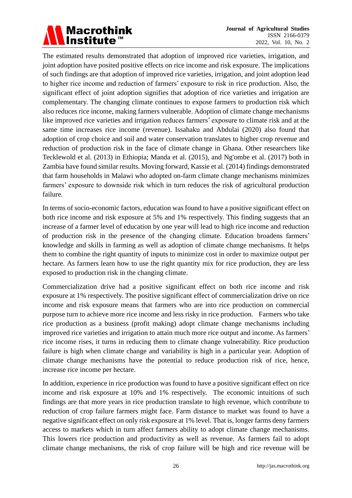# Macrothink<br>Institute™

The estimated results demonstrated that adoption of improved rice varieties, irrigation, and joint adoption have posited positive effects on rice income and risk exposure. The implications of such findings are that adoption of improved rice varieties, irrigation, and joint adoption lead to higher rice income and reduction of farmers' exposure to risk in rice production. Also, the significant effect of joint adoption signifies that adoption of rice varieties and irrigation are complementary. The changing climate continues to expose farmers to production risk which also reduces rice income, making farmers vulnerable. Adoption of climate change mechanisms like improved rice varieties and irrigation reduces farmers' exposure to climate risk and at the same time increases rice income (revenue). Issahaku and Abdulai (2020) also found that adoption of crop choice and soil and water conservation translates to higher crop revenue and reduction of production risk in the face of climate change in Ghana. Other researchers like Tecklewold et al. (2013) in Ethiopia; Manda et al. (2015), and Ng'ombe et al. (2017) both in Zambia have found similar results. Moving forward, Kassie et al. (2014) findings demonstrated that farm households in Malawi who adopted on-farm climate change mechanisms minimizes farmers' exposure to downside risk which in turn reduces the risk of agricultural production failure.

In terms of socio-economic factors, education was found to have a positive significant effect on both rice income and risk exposure at 5% and 1% respectively. This finding suggests that an increase of a farmer level of education by one year will lead to high rice income and reduction of production risk in the presence of the changing climate. Education broadens farmers' knowledge and skills in farming as well as adoption of climate change mechanisms. It helps them to combine the right quantity of inputs to minimize cost in order to maximize output per hectare. As farmers learn how to use the right quantity mix for rice production, they are less exposed to production risk in the changing climate.

Commercialization drive had a positive significant effect on both rice income and risk exposure at 1% respectively. The positive significant effect of commercialization drive on rice income and risk exposure means that farmers who are into rice production on commercial purpose turn to achieve more rice income and less risky in rice production. Farmers who take rice production as a business (profit making) adopt climate change mechanisms including improved rice varieties and irrigation to attain much more rice output and income. As farmers' rice income rises, it turns in reducing them to climate change vulnerability. Rice production failure is high when climate change and variability is high in a particular year. Adoption of climate change mechanisms have the potential to reduce production risk of rice, hence, increase rice income per hectare.

In addition, experience in rice production was found to have a positive significant effect on rice income and risk exposure at 10% and 1% respectively. The economic intuitions of such findings are that more years in rice production translate to high revenue, which contribute to reduction of crop failure farmers might face. Farm distance to market was found to have a negative significant effect on only risk exposure at 1% level. That is, longer farms deny farmers access to markets which in turn affect farmers ability to adopt climate change mechanisms. This lowers rice production and productivity as well as revenue. As farmers fail to adopt climate change mechanisms, the risk of crop failure will be high and rice revenue will be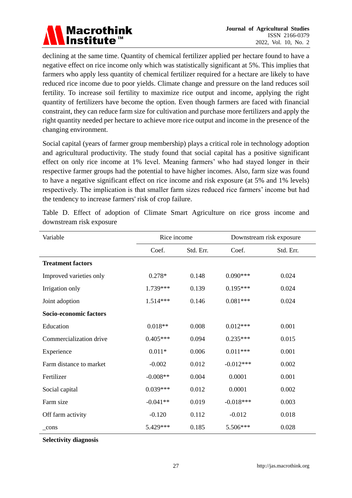

declining at the same time. Quantity of chemical fertilizer applied per hectare found to have a negative effect on rice income only which was statistically significant at 5%. This implies that farmers who apply less quantity of chemical fertilizer required for a hectare are likely to have reduced rice income due to poor yields. Climate change and pressure on the land reduces soil fertility. To increase soil fertility to maximize rice output and income, applying the right quantity of fertilizers have become the option. Even though farmers are faced with financial constraint, they can reduce farm size for cultivation and purchase more fertilizers and apply the right quantity needed per hectare to achieve more rice output and income in the presence of the changing environment.

Social capital (years of farmer group membership) plays a critical role in technology adoption and agricultural productivity. The study found that social capital has a positive significant effect on only rice income at 1% level. Meaning farmers' who had stayed longer in their respective farmer groups had the potential to have higher incomes. Also, farm size was found to have a negative significant effect on rice income and risk exposure (at 5% and 1% levels) respectively. The implication is that smaller farm sizes reduced rice farmers' income but had the tendency to increase farmers' risk of crop failure.

| Variable                 | Rice income |           | Downstream risk exposure |           |
|--------------------------|-------------|-----------|--------------------------|-----------|
|                          | Coef.       | Std. Err. | Coef.                    | Std. Err. |
| <b>Treatment factors</b> |             |           |                          |           |
| Improved varieties only  | $0.278*$    | 0.148     | $0.090***$               | 0.024     |
| Irrigation only          | 1.739***    | 0.139     | $0.195***$               | 0.024     |
| Joint adoption           | $1.514***$  | 0.146     | $0.081***$               | 0.024     |
| Socio-economic factors   |             |           |                          |           |
| Education                | $0.018**$   | 0.008     | $0.012***$               | 0.001     |
| Commercialization drive  | $0.405***$  | 0.094     | $0.235***$               | 0.015     |
| Experience               | $0.011*$    | 0.006     | $0.011***$               | 0.001     |
| Farm distance to market  | $-0.002$    | 0.012     | $-0.012***$              | 0.002     |
| Fertilizer               | $-0.008**$  | 0.004     | 0.0001                   | 0.001     |
| Social capital           | $0.039***$  | 0.012     | 0.0001                   | 0.002     |
| Farm size                | $-0.041**$  | 0.019     | $-0.018***$              | 0.003     |
| Off farm activity        | $-0.120$    | 0.112     | $-0.012$                 | 0.018     |
| cons                     | 5.429***    | 0.185     | 5.506***                 | 0.028     |

Table D. Effect of adoption of Climate Smart Agriculture on rice gross income and downstream risk exposure

**Selectivity diagnosis**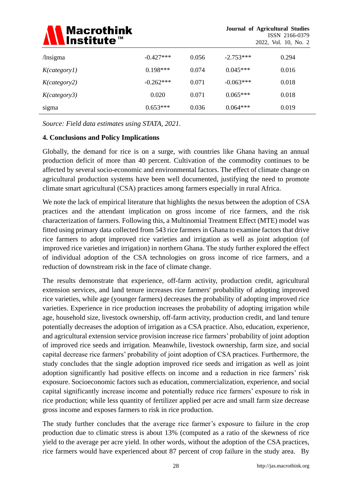

| /lnsigma     | $-0.427***$ | 0.056 | $-2.753***$ | 0.294 |
|--------------|-------------|-------|-------------|-------|
| K(category1) | $0.198***$  | 0.074 | $0.045***$  | 0.016 |
| K(category2) | $-0.262***$ | 0.071 | $-0.063***$ | 0.018 |
| K(category3) | 0.020       | 0.071 | $0.065***$  | 0.018 |
| sigma        | $0.653***$  | 0.036 | $0.064***$  | 0.019 |

*Source: Field data estimates using STATA, 2021.*

## **4. Conclusions and Policy Implications**

Globally, the demand for rice is on a surge, with countries like Ghana having an annual production deficit of more than 40 percent. Cultivation of the commodity continues to be affected by several socio-economic and environmental factors. The effect of climate change on agricultural production systems have been well documented, justifying the need to promote climate smart agricultural (CSA) practices among farmers especially in rural Africa.

We note the lack of empirical literature that highlights the nexus between the adoption of CSA practices and the attendant implication on gross income of rice farmers, and the risk characterization of farmers. Following this, a Multinomial Treatment Effect (MTE) model was fitted using primary data collected from 543 rice farmers in Ghana to examine factors that drive rice farmers to adopt improved rice varieties and irrigation as well as joint adoption (of improved rice varieties and irrigation) in northern Ghana. The study further explored the effect of individual adoption of the CSA technologies on gross income of rice farmers, and a reduction of downstream risk in the face of climate change.

The results demonstrate that experience, off-farm activity, production credit, agricultural extension services, and land tenure increases rice farmers' probability of adopting improved rice varieties, while age (younger farmers) decreases the probability of adopting improved rice varieties. Experience in rice production increases the probability of adopting irrigation while age, household size, livestock ownership, off-farm activity, production credit, and land tenure potentially decreases the adoption of irrigation as a CSA practice. Also, education, experience, and agricultural extension service provision increase rice farmers' probability of joint adoption of improved rice seeds and irrigation. Meanwhile, livestock ownership, farm size, and social capital decrease rice farmers' probability of joint adoption of CSA practices. Furthermore, the study concludes that the single adoption improved rice seeds and irrigation as well as joint adoption significantly had positive effects on income and a reduction in rice farmers' risk exposure. Socioeconomic factors such as education, commercialization, experience, and social capital significantly increase income and potentially reduce rice farmers' exposure to risk in rice production; while less quantity of fertilizer applied per acre and small farm size decrease gross income and exposes farmers to risk in rice production.

The study further concludes that the average rice farmer's exposure to failure in the crop production due to climatic stress is about 13% (computed as a ratio of the skewness of rice yield to the average per acre yield. In other words, without the adoption of the CSA practices, rice farmers would have experienced about 87 percent of crop failure in the study area. By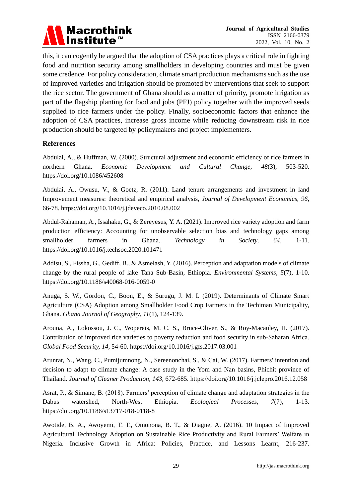

this, it can cogently be argued that the adoption of CSA practices plays a critical role in fighting food and nutrition security among smallholders in developing countries and must be given some credence. For policy consideration, climate smart production mechanisms such as the use of improved varieties and irrigation should be promoted by interventions that seek to support the rice sector. The government of Ghana should as a matter of priority, promote irrigation as part of the flagship planting for food and jobs (PFJ) policy together with the improved seeds supplied to rice farmers under the policy. Finally, socioeconomic factors that enhance the adoption of CSA practices, increase gross income while reducing downstream risk in rice production should be targeted by policymakers and project implementers.

#### **References**

Abdulai, A., & Huffman, W. (2000). Structural adjustment and economic efficiency of rice farmers in northern Ghana. *Economic Development and Cultural Change, 48*(3), 503-520. <https://doi.org/10.1086/452608>

Abdulai, A., Owusu, V., & Goetz, R. (2011). Land tenure arrangements and investment in land Improvement measures: theoretical and empirical analysis, *Journal of Development Economics*, *96*, 66-78. <https://doi.org/10.1016/j.jdeveco.2010.08.002>

Abdul-Rahaman, A., Issahaku, G., & Zereyesus, Y. A. (2021). Improved rice variety adoption and farm production efficiency: Accounting for unobservable selection bias and technology gaps among smallholder farmers in Ghana. *Technology in Society, 64*, 1-11. <https://doi.org/10.1016/j.techsoc.2020.101471>

Addisu, S., Fissha, G., Gediff, B., & Asmelash, Y. (2016). Perception and adaptation models of climate change by the rural people of lake Tana Sub-Basin, Ethiopia. *Environmental Systems, 5*(7), 1-10. <https://doi.org/10.1186/s40068-016-0059-0>

Anuga, S. W., Gordon, C., Boon, E., & Surugu, J. M. I. (2019). Determinants of Climate Smart Agriculture (CSA) Adoption among Smallholder Food Crop Farmers in the Techiman Municipality, Ghana. *Ghana Journal of Geography*, *11*(1), 124-139.

Arouna, A., Lokossou, J. C., Wopereis, M. C. S., Bruce-Oliver, S., & Roy-Macauley, H. (2017). Contribution of improved rice varieties to poverty reduction and food security in sub-Saharan Africa. *Global Food Security, 14*, 54-60. <https://doi.org/10.1016/j.gfs.2017.03.001>

Arunrat, N., Wang, C., Pumijumnong, N., Sereenonchai, S., & Cai, W. (2017). Farmers' intention and decision to adapt to climate change: A case study in the Yom and Nan basins, Phichit province of Thailand. *Journal of Cleaner Production*, *143*, 672-685. <https://doi.org/10.1016/j.jclepro.2016.12.058>

Asrat, P., & Simane, B. (2018). Farmers' perception of climate change and adaptation strategies in the Dabus watershed, North-West Ethiopia. *Ecological Processes, 7*(7), 1-13. <https://doi.org/10.1186/s13717-018-0118-8>

Awotide, B. A., Awoyemi, T. T., Omonona, B. T., & Diagne, A. (2016). 10 Impact of Improved Agricultural Technology Adoption on Sustainable Rice Productivity and Rural Farmers' Welfare in Nigeria. Inclusive Growth in Africa: Policies, Practice, and Lessons Learnt, 216-237.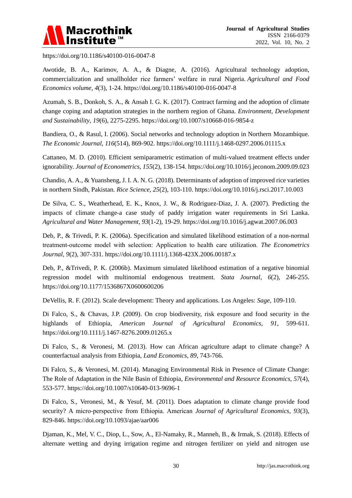

<https://doi.org/10.1186/s40100-016-0047-8>

Awotide, B. A., Karimov, A. A., & Diagne, A. (2016). Agricultural technology adoption, commercialization and smallholder rice farmers' welfare in rural Nigeria. *Agricultural and Food Economics volume, 4*(3), 1-24. <https://doi.org/10.1186/s40100-016-0047-8>

Azumah, S. B., Donkoh, S. A., & Ansah I. G. K. (2017). Contract farming and the adoption of climate change coping and adaptation strategies in the northern region of Ghana. *Environment, Development and Sustainability*, *19*(6), 2275-2295. <https://doi.org/10.1007/s10668-016-9854-z>

Bandiera, O., & Rasul, I. (2006). Social networks and technology adoption in Northern Mozambique. *The Economic Journal, 116*(514), 869-902.<https://doi.org/10.1111/j.1468-0297.2006.01115.x>

Cattaneo, M. D. (2010). Efficient semiparametric estimation of multi-valued treatment effects under ignorability. *Journal of Econometrics*, *155*(2), 138-154. <https://doi.org/10.1016/j.jeconom.2009.09.023>

Chandio, A. A., & Yuansheng, J. I. A. N. G. (2018). Determinants of adoption of improved rice varieties in northern Sindh, Pakistan. *Rice Science, 25*(2), 103-110. <https://doi.org/10.1016/j.rsci.2017.10.003>

De Silva, C. S., Weatherhead, E. K., Knox, J. W., & Rodriguez-Diaz, J. A. (2007). Predicting the impacts of climate change-a case study of paddy irrigation water requirements in Sri Lanka. *Agricultural and Water Management*, *93*(1-2), 19-29. <https://doi.org/10.1016/j.agwat.2007.06.003>

Deb, P., & Trivedi, P. K. (2006a). Specification and simulated likelihood estimation of a non-normal treatment‐outcome model with selection: Application to health care utilization. *The Econometrics Journal, 9*(2), 307-331. <https://doi.org/10.1111/j.1368-423X.2006.00187.x>

Deb, P., &Trivedi, P. K. (2006b). Maximum simulated likelihood estimation of a negative binomial regression model with multinomial endogenous treatment. *Stata Journal, 6*(2), 246-255. <https://doi.org/10.1177/1536867X0600600206>

DeVellis, R. F. (2012). Scale development: Theory and applications. Los Angeles: *Sage*, 109-110.

Di Falco, S., & Chavas, J.P. (2009). On crop biodiversity, risk exposure and food security in the highlands of Ethiopia, *American Journal of Agricultural Economics*, *91*, 599-611. <https://doi.org/10.1111/j.1467-8276.2009.01265.x>

Di Falco, S., & Veronesi, M. (2013). How can African agriculture adapt to climate change? A counterfactual analysis from Ethiopia, *Land Economics*, *89*, 743-766.

Di Falco, S., & Veronesi, M. (2014). Managing Environmental Risk in Presence of Climate Change: The Role of Adaptation in the Nile Basin of Ethiopia*, Environmental and Resource Economics*, *57*(4), 553-577. <https://doi.org/10.1007/s10640-013-9696-1>

Di Falco, S., Veronesi, M., & Yesuf, M. (2011). Does adaptation to climate change provide food security? A micro‐perspective from Ethiopia. American *Journal of Agricultural Economics, 93*(3), 829-846. <https://doi.org/10.1093/ajae/aar006>

Djaman, K., Mel, V. C., Diop, L., Sow, A., El-Namaky, R., Manneh, B., & Irmak, S. (2018). Effects of alternate wetting and drying irrigation regime and nitrogen fertilizer on yield and nitrogen use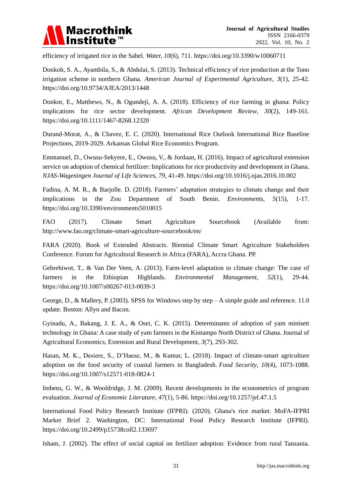

efficiency of irrigated rice in the Sahel. *Water, 10*(6), 711. <https://doi.org/10.3390/w10060711>

Donkoh, S. A., Ayambila, S., & Abdulai, S. (2013). Technical efficiency of rice production at the Tono irrigation scheme in northern Ghana. *American Journal of Experimental Agriculture*, *3*(1), 25-42. <https://doi.org/10.9734/AJEA/2013/1448>

Donkor, E., Matthews, N., & Ogundeji, A. A. (2018). Efficiency of rice farming in ghana: Policy implications for rice sector development. *African Development Review*, *30*(2), 149-161. <https://doi.org/10.1111/1467-8268.12320>

Durand-Morat, A., & Chavez, E. C. (2020). International Rice Outlook International Rice Baseline Projections, 2019-2029. Arkansas Global Rice Economics Program.

Emmanuel, D., Owusu-Sekyere, E., Owusu, V., & Jordaan, H. (2016). Impact of agricultural extension service on adoption of chemical fertilizer: Implications for rice productivity and development in Ghana. *NJAS-Wageningen Journal of Life Sciences, 79*, 41-49. <https://doi.org/10.1016/j.njas.2016.10.002>

Fadina, A. M. R., & Barjolle. D. (2018). Farmers' adaptation strategies to climate change and their implications in the Zou Department of South Benin. *Environments, 5*(15), 1-17. <https://doi.org/10.3390/environments5010015>

FAO (2017). Climate Smart Agriculture Sourcebook (Available from: <http://www.fao.org/climate-smart-agriculture-sourcebook/en/>

FARA (2020). Book of Extended Abstracts. Biennial Climate Smart Agriculture Stakeholders Conference. Forum for Agricultural Research in Africa (FARA), Accra Ghana. PP.

Gebrehiwot, T., & Van Der Veen, A. (2013). Farm-level adaptation to climate change: The case of farmers in the Ethiopian Highlands. *Environmental Management, 52*(1), 29-44. <https://doi.org/10.1007/s00267-013-0039-3>

George, D., & Mallery, P. (2003). SPSS for Windows step by step – A simple guide and reference. 11.0 update. Boston: Allyn and Bacon.

Gyinadu, A., Bakang, J. E. A., & Osei, C. K. (2015). Determinants of adoption of yam minisett technology in Ghana: A case study of yam farmers in the Kintampo North District of Ghana. Journal of Agricultural Economics, Extension and Rural Development, *3*(7), 293-302.

Hasan, M. K., Desiere, S., D'Haese, M., & Kumar, L. (2018). Impact of climate-smart agriculture adoption on the food security of coastal farmers in Bangladesh. *Food Security*, *10*(4), 1073-1088. <https://doi.org/10.1007/s12571-018-0824-1>

Imbens, G. W., & Wooldridge, J. M. (2009). Recent developments in the econometrics of program evaluation. *Journal of Economic Literature*, *47*(1), 5-86. <https://doi.org/10.1257/jel.47.1.5>

International Food Policy Research Institute (IFPRI). (2020). Ghana's rice market. MoFA-IFPRI Market Brief 2. Washington, DC: International Food Policy Research Institute (IFPRI). <https://doi.org/10.2499/p15738coll2.133697>

Isham, J. (2002). The effect of social capital on fertilizer adoption: Evidence from rural Tanzania.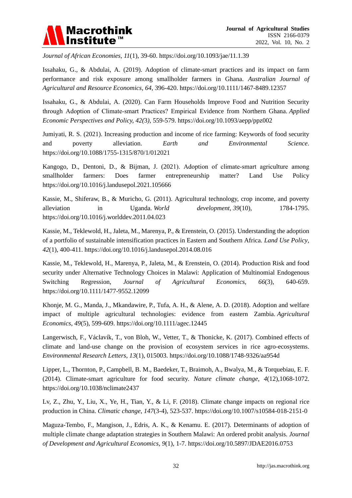

*Journal of African Economies, 11*(1), 39-60.<https://doi.org/10.1093/jae/11.1.39>

Issahaku, G., & Abdulai, A. (2019). Adoption of climate-smart practices and its impact on farm performance and risk exposure among smallholder farmers in Ghana. *Australian Journal of Agricultural and Resource Economics*, *64*, 396-420. <https://doi.org/10.1111/1467-8489.12357>

Issahaku, G., & Abdulai, A. (2020). Can Farm Households Improve Food and Nutrition Security through Adoption of Climate‐smart Practices? Empirical Evidence from Northern Ghana. *Applied Economic Perspectives and Policy, 42(*3*)*, 559-579. <https://doi.org/10.1093/aepp/ppz002>

Jumiyati, R. S. (2021). Increasing production and income of rice farming: Keywords of food security and poverty alleviation. *Earth and Environmental Science*. <https://doi.org/10.1088/1755-1315/870/1/012021>

Kangogo, D., Dentoni, D., & Bijman, J. (2021). Adoption of climate-smart agriculture among smallholder farmers: Does farmer entrepreneurship matter? Land Use Policy <https://doi.org/10.1016/j.landusepol.2021.105666>

Kassie, M., Shiferaw, B., & Muricho, G. (2011). Agricultural technology, crop income, and poverty alleviation in Uganda. *World development*, *39*(10), 1784-1795. <https://doi.org/10.1016/j.worlddev.2011.04.023>

Kassie, M., Teklewold, H., Jaleta, M., Marenya, P., & Erenstein, O. (2015). Understanding the adoption of a portfolio of sustainable intensification practices in Eastern and Southern Africa. *Land Use Policy*, *42*(1), 400-411. <https://doi.org/10.1016/j.landusepol.2014.08.016>

Kassie, M., Teklewold, H., Marenya, P., Jaleta, M., & Erenstein, O. (2014). Production Risk and food security under Alternative Technology Choices in Malawi: Application of Multinomial Endogenous Switching Regression, *Journal of Agricultural Economics, 66*(3), 640-659. <https://doi.org/10.1111/1477-9552.12099>

Khonje, M. G., Manda, J., Mkandawire, P., Tufa, A. H., & Alene, A. D. (2018). Adoption and welfare impact of multiple agricultural technologies: evidence from eastern Zambia. *Agricultural Economics*, *49*(5), 599-609. <https://doi.org/10.1111/agec.12445>

Langerwisch, F., Václavík, T., von Bloh, W., Vetter, T., & Thonicke, K. (2017). Combined effects of climate and land-use change on the provision of ecosystem services in rice agro-ecosystems. *Environmental Research Letters*, *13*(1), 015003. <https://doi.org/10.1088/1748-9326/aa954d>

Lipper, L., Thornton, P., Campbell, B. M., Baedeker, T., Braimoh, A., Bwalya, M., & Torquebiau, E. F. (2014). Climate-smart agriculture for food security. *Nature climate change*, *4*(12),1068-1072. <https://doi.org/10.1038/nclimate2437>

Lv, Z., Zhu, Y., Liu, X., Ye, H., Tian, Y., & Li, F. (2018). Climate change impacts on regional rice production in China. *Climatic change*, *147*(3-4), 523-537. <https://doi.org/10.1007/s10584-018-2151-0>

Maguza-Tembo, F., Mangison, J., Edris, A. K., & Kenamu. E. (2017). Determinants of adoption of multiple climate change adaptation strategies in Southern Malawi: An ordered probit analysis. *Journal of Development and Agricultural Economics*, *9*(1), 1-7.<https://doi.org/10.5897/JDAE2016.0753>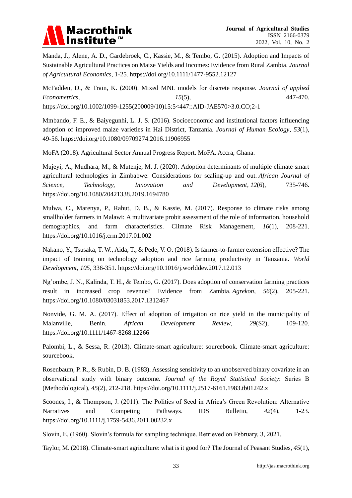

Manda, J., Alene, A. D., Gardebroek, C., Kassie, M., & Tembo, G. (2015). Adoption and Impacts of Sustainable Agricultural Practices on Maize Yields and Incomes: Evidence from Rural Zambia. *Journal of Agricultural Economics,* 1-25*.* <https://doi.org/10.1111/1477-9552.12127>

McFadden, D., & Train, K. (2000). Mixed MNL models for discrete response. *Journal of applied Econometrics, 15*(5), 447-470. [https://doi.org/10.1002/1099-1255\(200009/10\)15:5<447::AID-JAE570>3.0.CO;2-1](https://doi.org/10.1002/1099-1255(200009/10)15:5%3c447::AID-JAE570%3e3.0.CO;2-1)

Mmbando, F. E., & Baiyegunhi, L. J. S. (2016). Socioeconomic and institutional factors influencing adoption of improved maize varieties in Hai District, Tanzania. *Journal of Human Ecology*, *53*(1), 49-56. <https://doi.org/10.1080/09709274.2016.11906955>

MoFA (2018). Agricultural Sector Annual Progress Report. MoFA. Accra, Ghana.

Mujeyi, A., Mudhara, M., & Mutenje, M. J. (2020). Adoption determinants of multiple climate smart agricultural technologies in Zimbabwe: Considerations for scaling-up and out. *African Journal of Science, Technology, Innovation and Development*, *12*(6), 735-746. <https://doi.org/10.1080/20421338.2019.1694780>

Mulwa, C., Marenya, P., Rahut, D. B., & Kassie, M. (2017). Response to climate risks among smallholder farmers in Malawi: A multivariate probit assessment of the role of information, household demographics, and farm characteristics. Climate Risk Management, *16*(1), 208-221. <https://doi.org/10.1016/j.crm.2017.01.002>

Nakano, Y., Tsusaka, T. W., Aida, T., & Pede, V. O. (2018). Is farmer-to-farmer extension effective? The impact of training on technology adoption and rice farming productivity in Tanzania. *World Development*, *105*, 336-351. <https://doi.org/10.1016/j.worlddev.2017.12.013>

Ng'ombe, J. N., Kalinda, T. H., & Tembo, G. (2017). Does adoption of conservation farming practices result in increased crop revenue? Evidence from Zambia. *Agrekon*, *56*(2), 205-221. <https://doi.org/10.1080/03031853.2017.1312467>

Nonvide, G. M. A. (2017). Effect of adoption of irrigation on rice yield in the municipality of Malanville, Benin*. African Development Review*, *29*(S2), 109-120. <https://doi.org/10.1111/1467-8268.12266>

Palombi, L., & Sessa, R. (2013). Climate-smart agriculture: sourcebook. Climate-smart agriculture: sourcebook.

Rosenbaum, P. R., & Rubin, D. B. (1983). Assessing sensitivity to an unobserved binary covariate in an observational study with binary outcome. *Journal of the Royal Statistical Society*: Series B (Methodological), *45*(2), 212-218. <https://doi.org/10.1111/j.2517-6161.1983.tb01242.x>

Scoones, I., & Thompson, J. (2011). The Politics of Seed in Africa's Green Revolution: Alternative Narratives and Competing Pathways. IDS Bulletin, *42*(4), 1-23. <https://doi.org/10.1111/j.1759-5436.2011.00232.x>

Slovin, E. (1960). Slovin's formula for sampling technique. Retrieved on February, 3, 2021.

Taylor, M. (2018). Climate-smart agriculture: what is it good for? The Journal of Peasant Studies, *45*(1),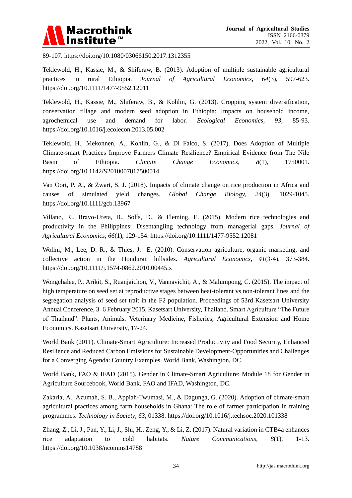

89-107. <https://doi.org/10.1080/03066150.2017.1312355>

Teklewold, H., Kassie, M., & Shiferaw, B. (2013). Adoption of multiple sustainable agricultural practices in rural Ethiopia. *Journal of Agricultural Economics*, *64*(3), 597-623. <https://doi.org/10.1111/1477-9552.12011>

Teklewold, H., Kassie, M., Shiferaw, B., & Kohlin, G. (2013). Cropping system diversification, conservation tillage and modern seed adoption in Ethiopia: Impacts on household income, agrochemical use and demand for labor. *Ecological Economics*, *93*, 85-93. <https://doi.org/10.1016/j.ecolecon.2013.05.002>

Teklewold, H., Mekonnen, A., Kohlin, G., & Di Falco, S. (2017). Does Adoption of Multiple Climate-smart Practices Improve Farmers Climate Resilience? Empirical Evidence from The Nile Basin of Ethiopia. *Climate Change Economics*, *8*(1), 1750001. <https://doi.org/10.1142/S2010007817500014>

Van Oort, P. A., & Zwart, S. J. (2018). Impacts of climate change on rice production in Africa and causes of simulated yield changes*. Global Change Biology*, *24*(3), 1029-1045. <https://doi.org/10.1111/gcb.13967>

Villano, R., Bravo‐Ureta, B., Solís, D., & Fleming, E. (2015). Modern rice technologies and productivity in the Philippines: Disentangling technology from managerial gaps. *Journal of Agricultural Economics*, *66*(1), 129-154. <https://doi.org/10.1111/1477-9552.12081>

Wollni, M., Lee, D. R., & Thies, J. E. (2010). Conservation agriculture, organic marketing, and collective action in the Honduran hillsides. *Agricultural Economics, 41*(3‐4), 373-384. <https://doi.org/10.1111/j.1574-0862.2010.00445.x>

Wongchalee, P., Arikit, S., Ruanjaichon, V., Vannavichit, A., & Malumpong, C. (2015). The impact of high temperature on seed set at reproductive stages between heat-tolerant vs non-tolerant lines and the segregation analysis of seed set trait in the F2 population. Proceedings of 53rd Kasetsart University Annual Conference, 3–6 February 2015, Kasetsart University, Thailand. Smart Agriculture "The Future of Thailand". Plants, Animals, Veterinary Medicine, Fisheries, Agricultural Extension and Home Economics. Kasetsart University, 17-24.

World Bank (2011). Climate-Smart Agriculture: Increased Productivity and Food Security, Enhanced Resilience and Reduced Carbon Emissions for Sustainable Development-Opportunities and Challenges for a Converging Agenda: Country Examples. World Bank, Washington, DC.

World Bank, FAO & IFAD (2015). Gender in Climate-Smart Agriculture: Module 18 for Gender in Agriculture Sourcebook, World Bank, FAO and IFAD, Washington, DC.

Zakaria, A., Azumah, S. B., Appiah-Twumasi, M., & Dagunga, G. (2020). Adoption of climate-smart agricultural practices among farm households in Ghana: The role of farmer participation in training programmes. *Technology in Society*, *63*, 01338. <https://doi.org/10.1016/j.techsoc.2020.101338>

Zhang, Z., Li, J., Pan, Y., Li, J., Shi, H., Zeng, Y., & Li, Z. (2017). Natural variation in CTB4a enhances rice adaptation to cold habitats. *Nature Communications, 8*(1), 1-13. <https://doi.org/10.1038/ncomms14788>